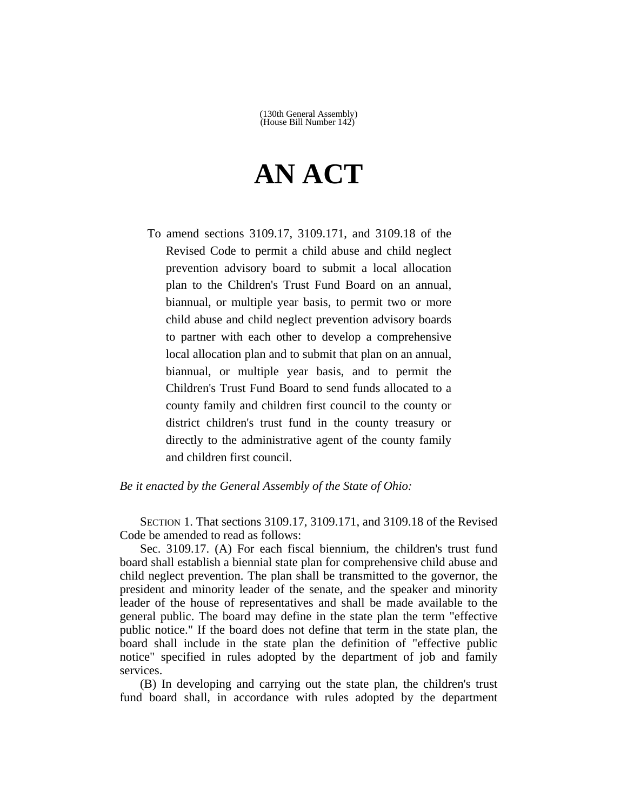(130th General Assembly) (House Bill Number 142)

## **AN ACT**

To amend sections 3109.17, 3109.171, and 3109.18 of the Revised Code to permit a child abuse and child neglect prevention advisory board to submit a local allocation plan to the Children's Trust Fund Board on an annual, biannual, or multiple year basis, to permit two or more child abuse and child neglect prevention advisory boards to partner with each other to develop a comprehensive local allocation plan and to submit that plan on an annual, biannual, or multiple year basis, and to permit the Children's Trust Fund Board to send funds allocated to a county family and children first council to the county or district children's trust fund in the county treasury or directly to the administrative agent of the county family and children first council.

*Be it enacted by the General Assembly of the State of Ohio:*

SECTION 1. That sections 3109.17, 3109.171, and 3109.18 of the Revised Code be amended to read as follows:

Sec. 3109.17. (A) For each fiscal biennium, the children's trust fund board shall establish a biennial state plan for comprehensive child abuse and child neglect prevention. The plan shall be transmitted to the governor, the president and minority leader of the senate, and the speaker and minority leader of the house of representatives and shall be made available to the general public. The board may define in the state plan the term "effective public notice." If the board does not define that term in the state plan, the board shall include in the state plan the definition of "effective public notice" specified in rules adopted by the department of job and family services.

(B) In developing and carrying out the state plan, the children's trust fund board shall, in accordance with rules adopted by the department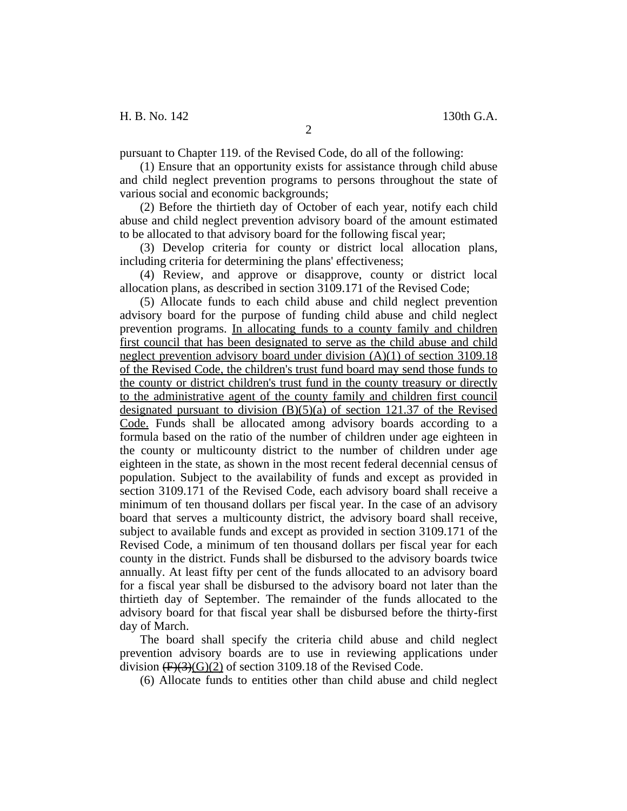2

pursuant to Chapter 119. of the Revised Code, do all of the following:

(1) Ensure that an opportunity exists for assistance through child abuse and child neglect prevention programs to persons throughout the state of various social and economic backgrounds;

(2) Before the thirtieth day of October of each year, notify each child abuse and child neglect prevention advisory board of the amount estimated to be allocated to that advisory board for the following fiscal year;

(3) Develop criteria for county or district local allocation plans, including criteria for determining the plans' effectiveness;

(4) Review, and approve or disapprove, county or district local allocation plans, as described in section 3109.171 of the Revised Code;

(5) Allocate funds to each child abuse and child neglect prevention advisory board for the purpose of funding child abuse and child neglect prevention programs. In allocating funds to a county family and children first council that has been designated to serve as the child abuse and child neglect prevention advisory board under division (A)(1) of section 3109.18 of the Revised Code, the children's trust fund board may send those funds to the county or district children's trust fund in the county treasury or directly to the administrative agent of the county family and children first council designated pursuant to division  $(B)(5)(a)$  of section 121.37 of the Revised Code. Funds shall be allocated among advisory boards according to a formula based on the ratio of the number of children under age eighteen in the county or multicounty district to the number of children under age eighteen in the state, as shown in the most recent federal decennial census of population. Subject to the availability of funds and except as provided in section 3109.171 of the Revised Code, each advisory board shall receive a minimum of ten thousand dollars per fiscal year. In the case of an advisory board that serves a multicounty district, the advisory board shall receive, subject to available funds and except as provided in section 3109.171 of the Revised Code, a minimum of ten thousand dollars per fiscal year for each county in the district. Funds shall be disbursed to the advisory boards twice annually. At least fifty per cent of the funds allocated to an advisory board for a fiscal year shall be disbursed to the advisory board not later than the thirtieth day of September. The remainder of the funds allocated to the advisory board for that fiscal year shall be disbursed before the thirty-first day of March.

The board shall specify the criteria child abuse and child neglect prevention advisory boards are to use in reviewing applications under division  $(F)(3)(G)(2)$  of section 3109.18 of the Revised Code.

(6) Allocate funds to entities other than child abuse and child neglect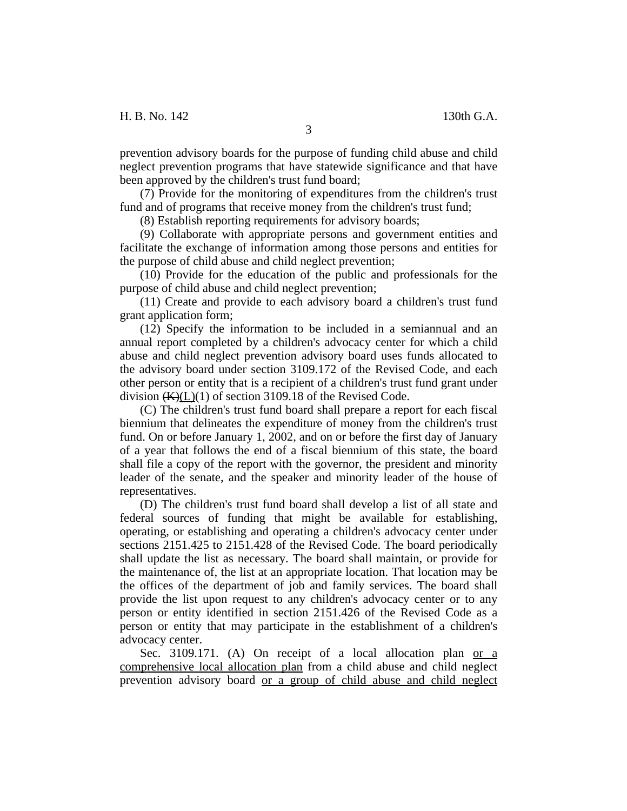prevention advisory boards for the purpose of funding child abuse and child neglect prevention programs that have statewide significance and that have been approved by the children's trust fund board;

(7) Provide for the monitoring of expenditures from the children's trust fund and of programs that receive money from the children's trust fund;

(8) Establish reporting requirements for advisory boards;

(9) Collaborate with appropriate persons and government entities and facilitate the exchange of information among those persons and entities for the purpose of child abuse and child neglect prevention;

(10) Provide for the education of the public and professionals for the purpose of child abuse and child neglect prevention;

(11) Create and provide to each advisory board a children's trust fund grant application form;

(12) Specify the information to be included in a semiannual and an annual report completed by a children's advocacy center for which a child abuse and child neglect prevention advisory board uses funds allocated to the advisory board under section 3109.172 of the Revised Code, and each other person or entity that is a recipient of a children's trust fund grant under division  $(K)(L)(1)$  of section 3109.18 of the Revised Code.

(C) The children's trust fund board shall prepare a report for each fiscal biennium that delineates the expenditure of money from the children's trust fund. On or before January 1, 2002, and on or before the first day of January of a year that follows the end of a fiscal biennium of this state, the board shall file a copy of the report with the governor, the president and minority leader of the senate, and the speaker and minority leader of the house of representatives.

(D) The children's trust fund board shall develop a list of all state and federal sources of funding that might be available for establishing, operating, or establishing and operating a children's advocacy center under sections 2151.425 to 2151.428 of the Revised Code. The board periodically shall update the list as necessary. The board shall maintain, or provide for the maintenance of, the list at an appropriate location. That location may be the offices of the department of job and family services. The board shall provide the list upon request to any children's advocacy center or to any person or entity identified in section 2151.426 of the Revised Code as a person or entity that may participate in the establishment of a children's advocacy center.

Sec. 3109.171. (A) On receipt of a local allocation plan or a comprehensive local allocation plan from a child abuse and child neglect prevention advisory board or a group of child abuse and child neglect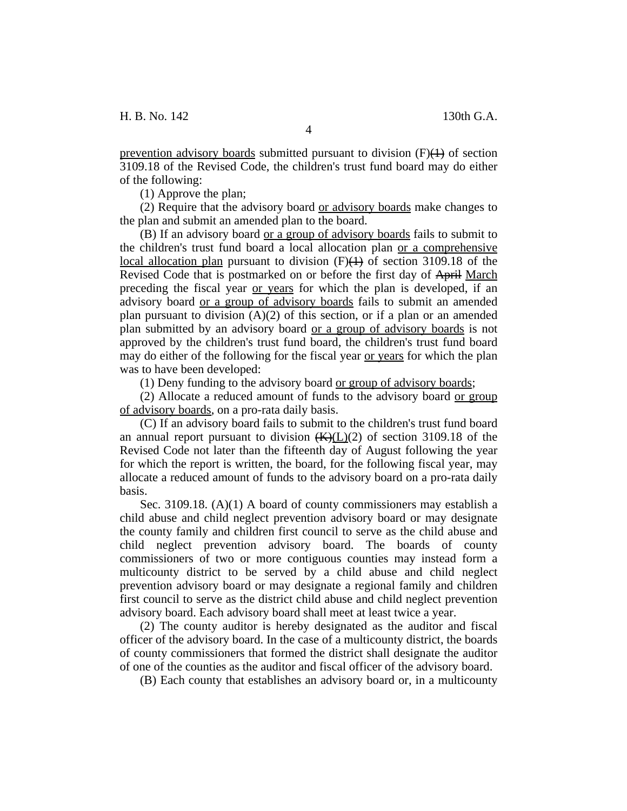prevention advisory boards submitted pursuant to division  $(F)$ ( $(H)$ ) of section 3109.18 of the Revised Code, the children's trust fund board may do either of the following:

(1) Approve the plan;

(2) Require that the advisory board or advisory boards make changes to the plan and submit an amended plan to the board.

(B) If an advisory board or a group of advisory boards fails to submit to the children's trust fund board a local allocation plan or a comprehensive local allocation plan pursuant to division  $(F)(H)$  of section 3109.18 of the Revised Code that is postmarked on or before the first day of April March preceding the fiscal year or years for which the plan is developed, if an advisory board or a group of advisory boards fails to submit an amended plan pursuant to division (A)(2) of this section, or if a plan or an amended plan submitted by an advisory board or a group of advisory boards is not approved by the children's trust fund board, the children's trust fund board may do either of the following for the fiscal year or years for which the plan was to have been developed:

(1) Deny funding to the advisory board or group of advisory boards;

(2) Allocate a reduced amount of funds to the advisory board or group of advisory boards, on a pro-rata daily basis.

(C) If an advisory board fails to submit to the children's trust fund board an annual report pursuant to division  $(K)(L)(2)$  of section 3109.18 of the Revised Code not later than the fifteenth day of August following the year for which the report is written, the board, for the following fiscal year, may allocate a reduced amount of funds to the advisory board on a pro-rata daily basis.

Sec. 3109.18. (A)(1) A board of county commissioners may establish a child abuse and child neglect prevention advisory board or may designate the county family and children first council to serve as the child abuse and child neglect prevention advisory board. The boards of county commissioners of two or more contiguous counties may instead form a multicounty district to be served by a child abuse and child neglect prevention advisory board or may designate a regional family and children first council to serve as the district child abuse and child neglect prevention advisory board. Each advisory board shall meet at least twice a year.

(2) The county auditor is hereby designated as the auditor and fiscal officer of the advisory board. In the case of a multicounty district, the boards of county commissioners that formed the district shall designate the auditor of one of the counties as the auditor and fiscal officer of the advisory board.

(B) Each county that establishes an advisory board or, in a multicounty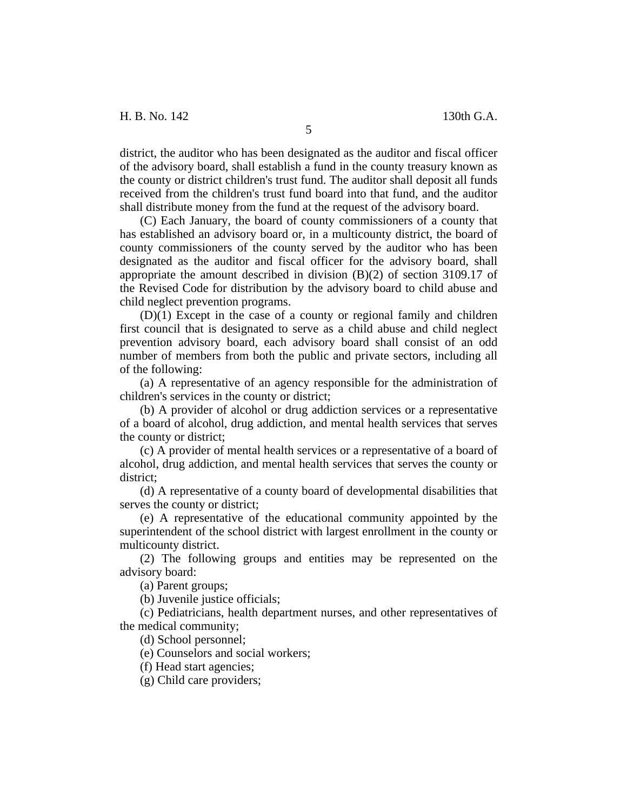district, the auditor who has been designated as the auditor and fiscal officer of the advisory board, shall establish a fund in the county treasury known as the county or district children's trust fund. The auditor shall deposit all funds received from the children's trust fund board into that fund, and the auditor shall distribute money from the fund at the request of the advisory board.

(C) Each January, the board of county commissioners of a county that has established an advisory board or, in a multicounty district, the board of county commissioners of the county served by the auditor who has been designated as the auditor and fiscal officer for the advisory board, shall appropriate the amount described in division (B)(2) of section 3109.17 of the Revised Code for distribution by the advisory board to child abuse and child neglect prevention programs.

(D)(1) Except in the case of a county or regional family and children first council that is designated to serve as a child abuse and child neglect prevention advisory board, each advisory board shall consist of an odd number of members from both the public and private sectors, including all of the following:

(a) A representative of an agency responsible for the administration of children's services in the county or district;

(b) A provider of alcohol or drug addiction services or a representative of a board of alcohol, drug addiction, and mental health services that serves the county or district;

(c) A provider of mental health services or a representative of a board of alcohol, drug addiction, and mental health services that serves the county or district;

(d) A representative of a county board of developmental disabilities that serves the county or district;

(e) A representative of the educational community appointed by the superintendent of the school district with largest enrollment in the county or multicounty district.

(2) The following groups and entities may be represented on the advisory board:

(a) Parent groups;

(b) Juvenile justice officials;

(c) Pediatricians, health department nurses, and other representatives of the medical community;

(d) School personnel;

(e) Counselors and social workers;

(f) Head start agencies;

(g) Child care providers;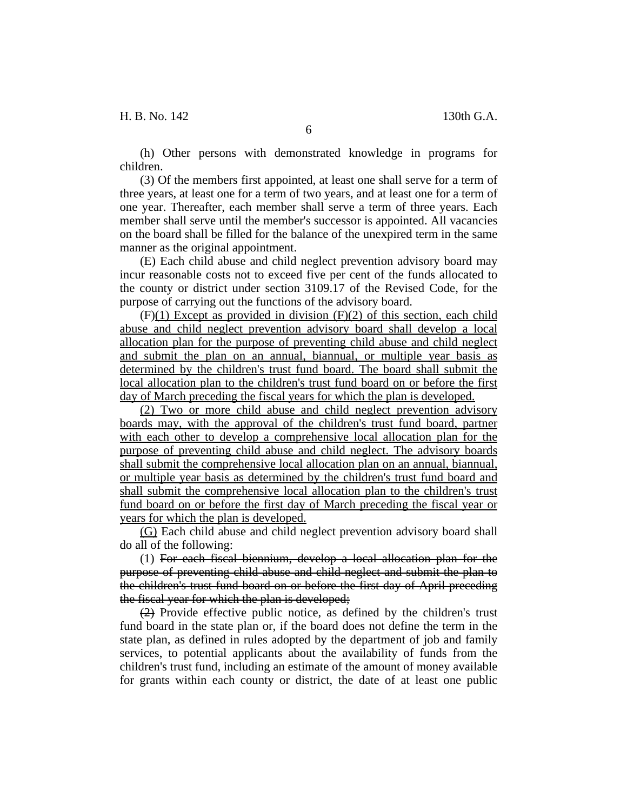6

(h) Other persons with demonstrated knowledge in programs for children.

(3) Of the members first appointed, at least one shall serve for a term of three years, at least one for a term of two years, and at least one for a term of one year. Thereafter, each member shall serve a term of three years. Each member shall serve until the member's successor is appointed. All vacancies on the board shall be filled for the balance of the unexpired term in the same manner as the original appointment.

(E) Each child abuse and child neglect prevention advisory board may incur reasonable costs not to exceed five per cent of the funds allocated to the county or district under section 3109.17 of the Revised Code, for the purpose of carrying out the functions of the advisory board.

 $(F)(1)$  Except as provided in division  $(F)(2)$  of this section, each child abuse and child neglect prevention advisory board shall develop a local allocation plan for the purpose of preventing child abuse and child neglect and submit the plan on an annual, biannual, or multiple year basis as determined by the children's trust fund board. The board shall submit the local allocation plan to the children's trust fund board on or before the first day of March preceding the fiscal years for which the plan is developed.

(2) Two or more child abuse and child neglect prevention advisory boards may, with the approval of the children's trust fund board, partner with each other to develop a comprehensive local allocation plan for the purpose of preventing child abuse and child neglect. The advisory boards shall submit the comprehensive local allocation plan on an annual, biannual, or multiple year basis as determined by the children's trust fund board and shall submit the comprehensive local allocation plan to the children's trust fund board on or before the first day of March preceding the fiscal year or years for which the plan is developed.

(G) Each child abuse and child neglect prevention advisory board shall do all of the following:

(1) For each fiscal biennium, develop a local allocation plan for the purpose of preventing child abuse and child neglect and submit the plan to the children's trust fund board on or before the first day of April preceding the fiscal year for which the plan is developed;

 $(2)$  Provide effective public notice, as defined by the children's trust fund board in the state plan or, if the board does not define the term in the state plan, as defined in rules adopted by the department of job and family services, to potential applicants about the availability of funds from the children's trust fund, including an estimate of the amount of money available for grants within each county or district, the date of at least one public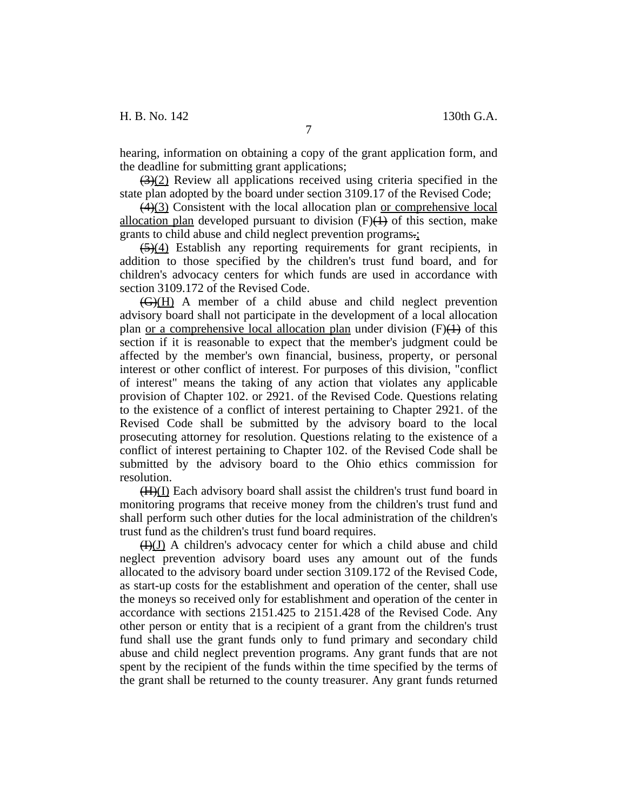hearing, information on obtaining a copy of the grant application form, and the deadline for submitting grant applications;

 $(3)(2)$  Review all applications received using criteria specified in the state plan adopted by the board under section 3109.17 of the Revised Code;

 $(4)(3)$  Consistent with the local allocation plan or comprehensive local allocation plan developed pursuant to division  $(F)(H)$  of this section, make grants to child abuse and child neglect prevention programs.;

 $\left(\frac{5}{4}\right)$  Establish any reporting requirements for grant recipients, in addition to those specified by the children's trust fund board, and for children's advocacy centers for which funds are used in accordance with section 3109.172 of the Revised Code.

(G)(H) A member of a child abuse and child neglect prevention advisory board shall not participate in the development of a local allocation plan <u>or a comprehensive local allocation plan</u> under division  $(F)(H)$  of this section if it is reasonable to expect that the member's judgment could be affected by the member's own financial, business, property, or personal interest or other conflict of interest. For purposes of this division, "conflict of interest" means the taking of any action that violates any applicable provision of Chapter 102. or 2921. of the Revised Code. Questions relating to the existence of a conflict of interest pertaining to Chapter 2921. of the Revised Code shall be submitted by the advisory board to the local prosecuting attorney for resolution. Questions relating to the existence of a conflict of interest pertaining to Chapter 102. of the Revised Code shall be submitted by the advisory board to the Ohio ethics commission for resolution.

(H)(I) Each advisory board shall assist the children's trust fund board in monitoring programs that receive money from the children's trust fund and shall perform such other duties for the local administration of the children's trust fund as the children's trust fund board requires.

 $(H)(J)$  A children's advocacy center for which a child abuse and child neglect prevention advisory board uses any amount out of the funds allocated to the advisory board under section 3109.172 of the Revised Code, as start-up costs for the establishment and operation of the center, shall use the moneys so received only for establishment and operation of the center in accordance with sections 2151.425 to 2151.428 of the Revised Code. Any other person or entity that is a recipient of a grant from the children's trust fund shall use the grant funds only to fund primary and secondary child abuse and child neglect prevention programs. Any grant funds that are not spent by the recipient of the funds within the time specified by the terms of the grant shall be returned to the county treasurer. Any grant funds returned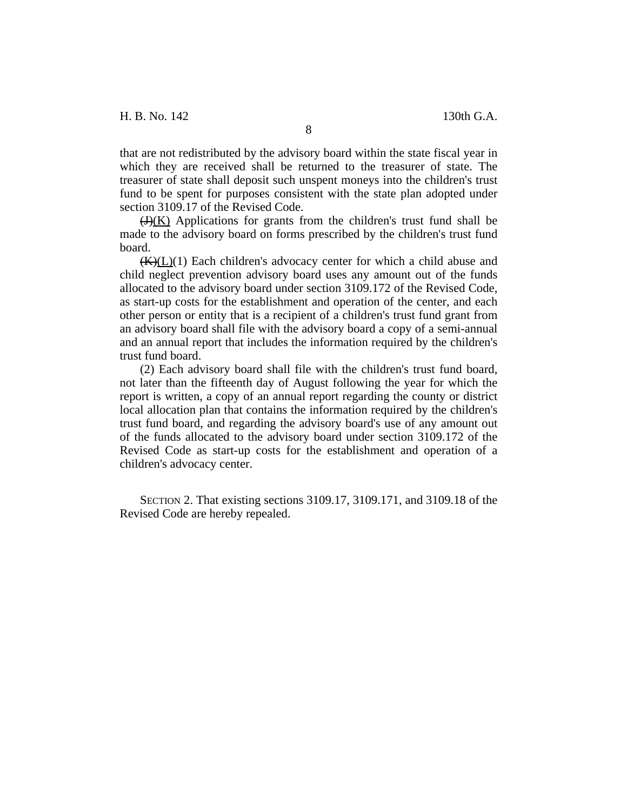that are not redistributed by the advisory board within the state fiscal year in which they are received shall be returned to the treasurer of state. The treasurer of state shall deposit such unspent moneys into the children's trust fund to be spent for purposes consistent with the state plan adopted under section 3109.17 of the Revised Code.

 $H(K)$  Applications for grants from the children's trust fund shall be made to the advisory board on forms prescribed by the children's trust fund board.

 $H(H)(L)(1)$  Each children's advocacy center for which a child abuse and child neglect prevention advisory board uses any amount out of the funds allocated to the advisory board under section 3109.172 of the Revised Code, as start-up costs for the establishment and operation of the center, and each other person or entity that is a recipient of a children's trust fund grant from an advisory board shall file with the advisory board a copy of a semi-annual and an annual report that includes the information required by the children's trust fund board.

(2) Each advisory board shall file with the children's trust fund board, not later than the fifteenth day of August following the year for which the report is written, a copy of an annual report regarding the county or district local allocation plan that contains the information required by the children's trust fund board, and regarding the advisory board's use of any amount out of the funds allocated to the advisory board under section 3109.172 of the Revised Code as start-up costs for the establishment and operation of a children's advocacy center.

SECTION 2. That existing sections 3109.17, 3109.171, and 3109.18 of the Revised Code are hereby repealed.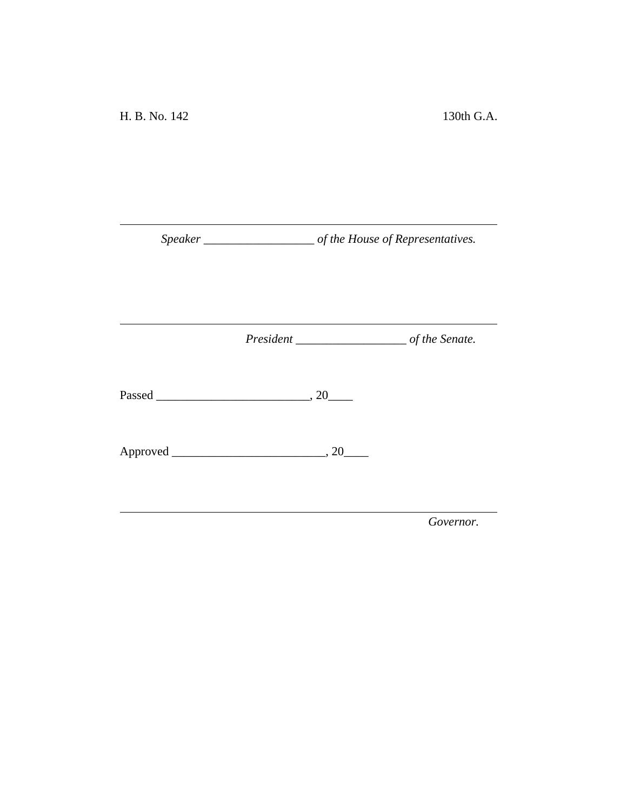*Speaker \_\_\_\_\_\_\_\_\_\_\_\_\_\_\_\_\_\_ of the House of Representatives.*

<u> 1980 - Johann Barn, mars an t-Amerikaansk kommunister (</u>

*President \_\_\_\_\_\_\_\_\_\_\_\_\_\_\_\_\_\_ of the Senate.*

<u> 1989 - Johann Barnett, fransk politiker (</u>

Passed \_\_\_\_\_\_\_\_\_\_\_\_\_\_\_\_\_\_\_\_\_\_\_\_\_, 20\_\_\_\_

Approved \_\_\_\_\_\_\_\_\_\_\_\_\_\_\_\_\_\_\_\_\_\_\_\_\_, 20\_\_\_\_

*Governor.*